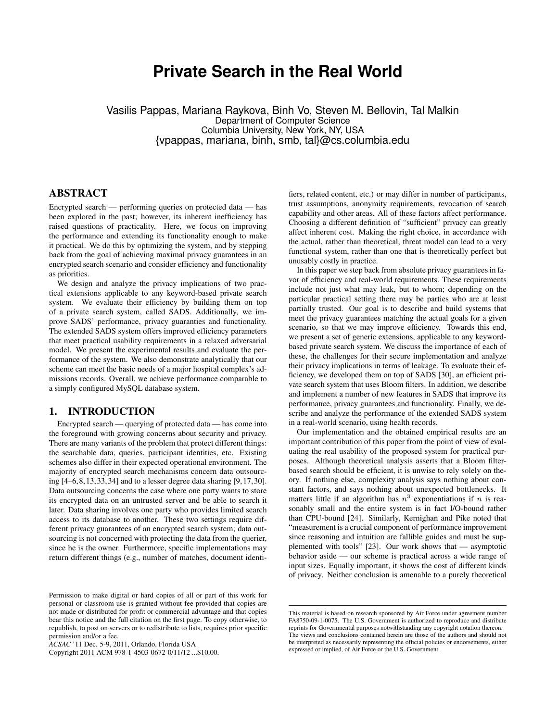# **Private Search in the Real World**

Vasilis Pappas, Mariana Raykova, Binh Vo, Steven M. Bellovin, Tal Malkin Department of Computer Science Columbia University, New York, NY, USA {vpappas, mariana, binh, smb, tal}@cs.columbia.edu

# ABSTRACT

Encrypted search — performing queries on protected data — has been explored in the past; however, its inherent inefficiency has raised questions of practicality. Here, we focus on improving the performance and extending its functionality enough to make it practical. We do this by optimizing the system, and by stepping back from the goal of achieving maximal privacy guarantees in an encrypted search scenario and consider efficiency and functionality as priorities.

We design and analyze the privacy implications of two practical extensions applicable to any keyword-based private search system. We evaluate their efficiency by building them on top of a private search system, called SADS. Additionally, we improve SADS' performance, privacy guaranties and functionality. The extended SADS system offers improved efficiency parameters that meet practical usability requirements in a relaxed adversarial model. We present the experimental results and evaluate the performance of the system. We also demonstrate analytically that our scheme can meet the basic needs of a major hospital complex's admissions records. Overall, we achieve performance comparable to a simply configured MySQL database system.

# 1. INTRODUCTION

Encrypted search — querying of protected data — has come into the foreground with growing concerns about security and privacy. There are many variants of the problem that protect different things: the searchable data, queries, participant identities, etc. Existing schemes also differ in their expected operational environment. The majority of encrypted search mechanisms concern data outsourcing [\[4](#page-9-0)[–6,](#page-9-1)[8,](#page-9-2)[13,](#page-9-3)[33,](#page-9-4)[34\]](#page-9-5) and to a lesser degree data sharing [\[9,](#page-9-6)[17,](#page-9-7)[30\]](#page-9-8). Data outsourcing concerns the case where one party wants to store its encrypted data on an untrusted server and be able to search it later. Data sharing involves one party who provides limited search access to its database to another. These two settings require different privacy guarantees of an encrypted search system; data outsourcing is not concerned with protecting the data from the querier, since he is the owner. Furthermore, specific implementations may return different things (e.g., number of matches, document identi-

Copyright 2011 ACM 978-1-4503-0672-0/11/12 ...\$10.00.

fiers, related content, etc.) or may differ in number of participants, trust assumptions, anonymity requirements, revocation of search capability and other areas. All of these factors affect performance. Choosing a different definition of "sufficient" privacy can greatly affect inherent cost. Making the right choice, in accordance with the actual, rather than theoretical, threat model can lead to a very functional system, rather than one that is theoretically perfect but unusably costly in practice.

In this paper we step back from absolute privacy guarantees in favor of efficiency and real-world requirements. These requirements include not just what may leak, but to whom; depending on the particular practical setting there may be parties who are at least partially trusted. Our goal is to describe and build systems that meet the privacy guarantees matching the actual goals for a given scenario, so that we may improve efficiency. Towards this end, we present a set of generic extensions, applicable to any keywordbased private search system. We discuss the importance of each of these, the challenges for their secure implementation and analyze their privacy implications in terms of leakage. To evaluate their efficiency, we developed them on top of SADS [\[30\]](#page-9-8), an efficient private search system that uses Bloom filters. In addition, we describe and implement a number of new features in SADS that improve its performance, privacy guarantees and functionality. Finally, we describe and analyze the performance of the extended SADS system in a real-world scenario, using health records.

Our implementation and the obtained empirical results are an important contribution of this paper from the point of view of evaluating the real usability of the proposed system for practical purposes. Although theoretical analysis asserts that a Bloom filterbased search should be efficient, it is unwise to rely solely on theory. If nothing else, complexity analysis says nothing about constant factors, and says nothing about unexpected bottlenecks. It matters little if an algorithm has  $n^3$  exponentiations if n is reasonably small and the entire system is in fact I/O-bound rather than CPU-bound [\[24\]](#page-9-9). Similarly, Kernighan and Pike noted that "measurement is a crucial component of performance improvement since reasoning and intuition are fallible guides and must be supplemented with tools" [\[23\]](#page-9-10). Our work shows that — asymptotic behavior aside — our scheme is practical across a wide range of input sizes. Equally important, it shows the cost of different kinds of privacy. Neither conclusion is amenable to a purely theoretical

Permission to make digital or hard copies of all or part of this work for personal or classroom use is granted without fee provided that copies are not made or distributed for profit or commercial advantage and that copies bear this notice and the full citation on the first page. To copy otherwise, to republish, to post on servers or to redistribute to lists, requires prior specific permission and/or a fee.

*ACSAC* '11 Dec. 5-9, 2011, Orlando, Florida USA

This material is based on research sponsored by Air Force under agreement number FA8750-09-1-0075. The U.S. Government is authorized to reproduce and distribute reprints for Governmental purposes notwithstanding any copyright notation thereon. The views and conclusions contained herein are those of the authors and should not be interpreted as necessarily representing the official policies or endorsements, either expressed or implied, of Air Force or the U.S. Government.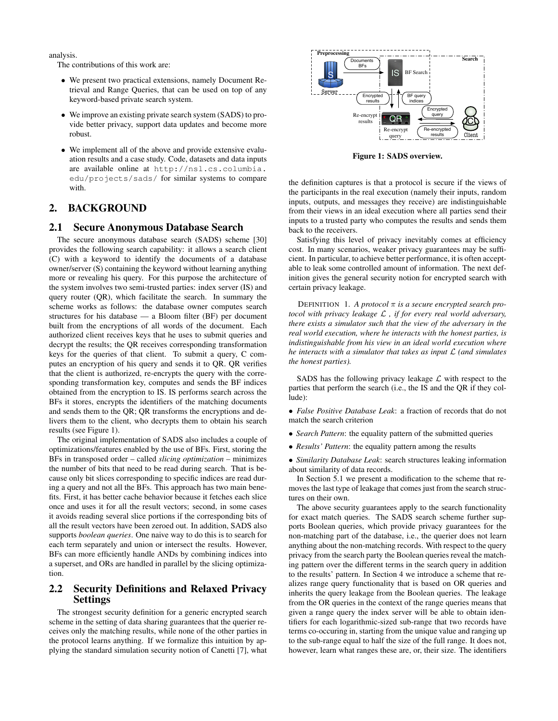analysis.

The contributions of this work are:

- We present two practical extensions, namely Document Retrieval and Range Queries, that can be used on top of any keyword-based private search system.
- We improve an existing private search system (SADS) to provide better privacy, support data updates and become more robust.
- We implement all of the above and provide extensive evaluation results and a case study. Code, datasets and data inputs are available online at [http://nsl.cs.columbia.](http://nsl.cs.columbia.edu/projects/sads/) [edu/projects/sads/](http://nsl.cs.columbia.edu/projects/sads/) for similar systems to compare with.

# 2. BACKGROUND

### 2.1 Secure Anonymous Database Search

The secure anonymous database search (SADS) scheme [\[30\]](#page-9-8) provides the following search capability: it allows a search client (C) with a keyword to identify the documents of a database owner/server (S) containing the keyword without learning anything more or revealing his query. For this purpose the architecture of the system involves two semi-trusted parties: index server (IS) and query router (QR), which facilitate the search. In summary the scheme works as follows: the database owner computes search structures for his database — a Bloom filter (BF) per document built from the encryptions of all words of the document. Each authorized client receives keys that he uses to submit queries and decrypt the results; the QR receives corresponding transformation keys for the queries of that client. To submit a query, C computes an encryption of his query and sends it to QR. QR verifies that the client is authorized, re-encrypts the query with the corresponding transformation key, computes and sends the BF indices obtained from the encryption to IS. IS performs search across the BFs it stores, encrypts the identifiers of the matching documents and sends them to the QR; QR transforms the encryptions and delivers them to the client, who decrypts them to obtain his search results (see Figure [1\)](#page-1-0).

The original implementation of SADS also includes a couple of optimizations/features enabled by the use of BFs. First, storing the BFs in transposed order – called *slicing optimization* – minimizes the number of bits that need to be read during search. That is because only bit slices corresponding to specific indices are read during a query and not all the BFs. This approach has two main benefits. First, it has better cache behavior because it fetches each slice once and uses it for all the result vectors; second, in some cases it avoids reading several slice portions if the corresponding bits of all the result vectors have been zeroed out. In addition, SADS also supports *boolean queries*. One naive way to do this is to search for each term separately and union or intersect the results. However, BFs can more efficiently handle ANDs by combining indices into a superset, and ORs are handled in parallel by the slicing optimization.

# 2.2 Security Definitions and Relaxed Privacy **Settings**

The strongest security definition for a generic encrypted search scheme in the setting of data sharing guarantees that the querier receives only the matching results, while none of the other parties in the protocol learns anything. If we formalize this intuition by applying the standard simulation security notion of Canetti [\[7\]](#page-9-11), what



<span id="page-1-0"></span>Figure 1: SADS overview.

the definition captures is that a protocol is secure if the views of the participants in the real execution (namely their inputs, random inputs, outputs, and messages they receive) are indistinguishable from their views in an ideal execution where all parties send their inputs to a trusted party who computes the results and sends them back to the receivers.

Satisfying this level of privacy inevitably comes at efficiency cost. In many scenarios, weaker privacy guarantees may be sufficient. In particular, to achieve better performance, it is often acceptable to leak some controlled amount of information. The next definition gives the general security notion for encrypted search with certain privacy leakage.

DEFINITION 1. *A protocol* π *is a secure encrypted search protocol with privacy leakage* L *, if for every real world adversary, there exists a simulator such that the view of the adversary in the real world execution, where he interacts with the honest parties, is indistinguishable from his view in an ideal world execution where he interacts with a simulator that takes as input* L *(and simulates the honest parties).*

SADS has the following privacy leakage  $\mathcal L$  with respect to the parties that perform the search (i.e., the IS and the QR if they collude):

• *False Positive Database Leak*: a fraction of records that do not match the search criterion

- *Search Pattern*: the equality pattern of the submitted queries
- *Results' Pattern*: the equality pattern among the results

• *Similarity Database Leak*: search structures leaking information about similarity of data records.

In Section [5.1](#page-4-0) we present a modification to the scheme that removes the last type of leakage that comes just from the search structures on their own.

The above security guarantees apply to the search functionality for exact match queries. The SADS search scheme further supports Boolean queries, which provide privacy guarantees for the non-matching part of the database, i.e., the querier does not learn anything about the non-matching records. With respect to the query privacy from the search party the Boolean queries reveal the matching pattern over the different terms in the search query in addition to the results' pattern. In Section [4](#page-2-0) we introduce a scheme that realizes range query functionality that is based on OR queries and inherits the query leakage from the Boolean queries. The leakage from the OR queries in the context of the range queries means that given a range query the index server will be able to obtain identifiers for each logarithmic-sized sub-range that two records have terms co-occuring in, starting from the unique value and ranging up to the sub-range equal to half the size of the full range. It does not, however, learn what ranges these are, or, their size. The identifiers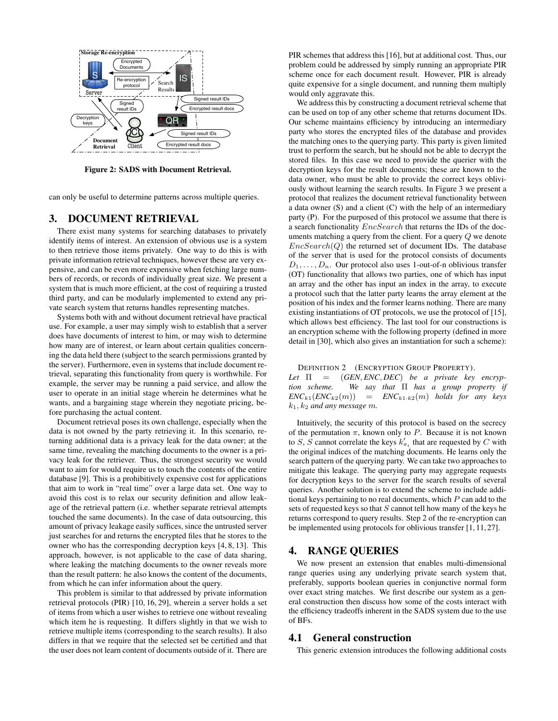

Figure 2: SADS with Document Retrieval.

can only be useful to determine patterns across multiple queries.

# 3. DOCUMENT RETRIEVAL

There exist many systems for searching databases to privately identify items of interest. An extension of obvious use is a system to then retrieve those items privately. One way to do this is with private information retrieval techniques, however these are very expensive, and can be even more expensive when fetching large numbers of records, or records of individually great size. We present a system that is much more efficient, at the cost of requiring a trusted third party, and can be modularly implemented to extend any private search system that returns handles representing matches.

Systems both with and without document retrieval have practical use. For example, a user may simply wish to establish that a server does have documents of interest to him, or may wish to determine how many are of interest, or learn about certain qualities concerning the data held there (subject to the search permissions granted by the server). Furthermore, even in systems that include document retrieval, separating this functionality from query is worthwhile. For example, the server may be running a paid service, and allow the user to operate in an initial stage wherein he determines what he wants, and a bargaining stage wherein they negotiate pricing, before purchasing the actual content.

Document retrieval poses its own challenge, especially when the data is not owned by the party retrieving it. In this scenario, returning additional data is a privacy leak for the data owner; at the same time, revealing the matching documents to the owner is a privacy leak for the retriever. Thus, the strongest security we would want to aim for would require us to touch the contents of the entire database [\[9\]](#page-9-6). This is a prohibitively expensive cost for applications that aim to work in "real time" over a large data set. One way to avoid this cost is to relax our security definition and allow leakage of the retrieval pattern (i.e. whether separate retrieval attempts touched the same documents). In the case of data outsourcing, this amount of privacy leakage easily suffices, since the untrusted server just searches for and returns the encrypted files that he stores to the owner who has the corresponding decryption keys [\[4,](#page-9-0) [8,](#page-9-2) [13\]](#page-9-3). This approach, however, is not applicable to the case of data sharing, where leaking the matching documents to the owner reveals more than the result pattern: he also knows the content of the documents, from which he can infer information about the query.

This problem is similar to that addressed by private information retrieval protocols (PIR) [\[10,](#page-9-12) [16,](#page-9-13) [29\]](#page-9-14), wherein a server holds a set of items from which a user wishes to retrieve one without revealing which item he is requesting. It differs slightly in that we wish to retrieve multiple items (corresponding to the search results). It also differs in that we require that the selected set be certified and that the user does not learn content of documents outside of it. There are

PIR schemes that address this [\[16\]](#page-9-13), but at additional cost. Thus, our problem could be addressed by simply running an appropriate PIR scheme once for each document result. However, PIR is already quite expensive for a single document, and running them multiply would only aggravate this.

We address this by constructing a document retrieval scheme that can be used on top of any other scheme that returns document IDs. Our scheme maintains efficiency by introducing an intermediary party who stores the encrypted files of the database and provides the matching ones to the querying party. This party is given limited trust to perform the search, but he should not be able to decrypt the stored files. In this case we need to provide the querier with the decryption keys for the result documents; these are known to the data owner, who must be able to provide the correct keys obliviously without learning the search results. In Figure [3](#page-3-0) we present a protocol that realizes the document retrieval functionality between a data owner (S) and a client (C) with the help of an intermediary party (P). For the purposed of this protocol we assume that there is a search functionality EncSearch that returns the IDs of the documents matching a query from the client. For a query Q we denote  $EncSearch(Q)$  the returned set of document IDs. The database of the server that is used for the protocol consists of documents  $D_1, \ldots, D_n$ . Our protocol also uses 1-out-of-n oblivious transfer (OT) functionality that allows two parties, one of which has input an array and the other has input an index in the array, to execute a protocol such that the latter party learns the array element at the position of his index and the former learns nothing. There are many existing instantiations of OT protocols, we use the protocol of [\[15\]](#page-9-15), which allows best efficiency. The last tool for our constructions is an encryption scheme with the following property (defined in more detail in [\[30\]](#page-9-8), which also gives an instantiation for such a scheme):

#### <span id="page-2-1"></span>DEFINITION 2 (ENCRYPTION GROUP PROPERTY).

Let  $\Pi$  =  $(GEN, ENC, DEC)$  *be a private key encryption scheme. We say that* Π *has a group property if*  $ENC_{k1}(ENC_{k2}(m)) = ENC_{k1 \cdot k2}(m)$  *holds for any keys* k1, k<sup>2</sup> *and any message* m*.*

Intuitively, the security of this protocol is based on the secrecy of the permutation  $\pi$ , known only to P. Because it is not known to S,  $\tilde{S}$  cannot correlate the keys  $k'_{\pi_i}$  that are requested by C with the original indices of the matching documents. He learns only the search pattern of the querying party. We can take two approaches to mitigate this leakage. The querying party may aggregate requests for decryption keys to the server for the search results of several queries. Another solution is to extend the scheme to include additional keys pertaining to no real documents, which P can add to the sets of requested keys so that  $S$  cannot tell how many of the keys he returns correspond to query results. Step [2](#page-3-1) of the re-encryption can be implemented using protocols for oblivious transfer [\[1,](#page-9-16) [11,](#page-9-17) [27\]](#page-9-18).

# <span id="page-2-0"></span>4. RANGE QUERIES

We now present an extension that enables multi-dimensional range queries using any underlying private search system that, preferably, supports boolean queries in conjunctive normal form over exact string matches. We first describe our system as a general construction then discuss how some of the costs interact with the efficiency tradeoffs inherent in the SADS system due to the use of BFs.

### 4.1 General construction

This generic extension introduces the following additional costs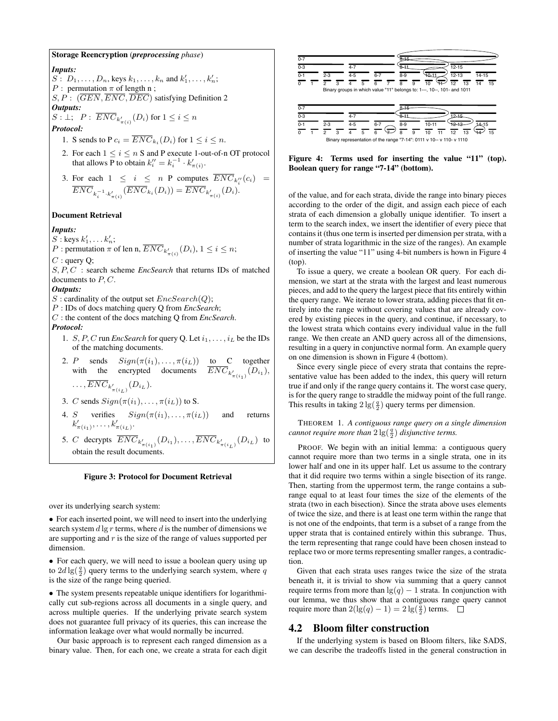#### Storage Reencryption (*preprocessing phase*)

#### *Inputs:*

 $S: D_1, \ldots, D_n$ , keys  $k_1, \ldots, k_n$  and  $k'_1, \ldots, k'_n$ ; P : permutation  $\pi$  of length n;  $S, P: (\overline{GEN}, \overline{ENC}, \overline{DEC})$  satisfying Definition [2](#page-2-1)

#### *Outputs:*

 $S: \bot ; \ \ P : \ \overline{ENC}_{k'_{\pi(i)}}(D_i)$  for  $1 \leq i \leq n$ 

*Protocol:*

- 1. S sends to P  $c_i = ENC_{k_i}(D_i)$  for  $1 \leq i \leq n$ .
- <span id="page-3-1"></span>2. For each  $1 \leq i \leq n$  S and P execute 1-out-of-n OT protocol that allows P to obtain  $k_i'' = k_i^{-1} \cdot k_{\pi(i)}'.$
- 3. For each  $1 \leq i \leq n$  P computes  $ENC_{k''_i}(c_i)$  =  $\overline{ENC}_{k_i^{-1}.k'_{\pi(i)}}(\overline{ENC}_{k_i}(D_i)) = \overline{ENC}_{k'_{\pi(i)}}(D_i).$

### Document Retrieval

#### *Inputs:*

 $S: \text{keys } k'_1, \ldots k'_n;$ 

P : permutation  $\pi$  of len n,  $\overline{ENC}_{k'_{\pi(i)}}(D_i)$ ,  $1 \leq i \leq n$ ;

 $C$ : query Q;

S, P, C : search scheme *EncSearch* that returns IDs of matched documents to  $P, C$ .

#### *Outputs:*

- S : cardinality of the output set  $EncSearch(Q)$ ;
- P : IDs of docs matching query Q from *EncSearch*;
- C : the content of the docs matching Q from *EncSearch*.

#### *Protocol:*

- 1. S, P, C run *EncSearch* for query Q. Let  $i_1, \ldots, i_L$  be the IDs of the matching documents.
- 2. P sends  $Sign(\pi(i_1), \ldots, \pi(i_L))$  to C together with the encrypted documents  $ENC_{k'_{\pi(i_1)}}(D_{i_1}),$  $\ldots, ENC_{k'_{\pi(i_L)}}(D_{i_L}).$
- 3. C sends  $Sign(\pi(i_1), \ldots, \pi(i_L))$  to S.
- 4. S verifies  $Sign(\pi(i_1), \ldots, \pi(i_L))$  and returns  $k'_{\pi(i_1)}, \ldots, k'_{\pi(i_L)}.$
- 5. *C* decrypts  $ENC_{k'_{\pi(i_1)}}(D_{i_1}), \ldots, ENC_{k'_{\pi(i_L)}}(D_{i_L})$  to obtain the result documents.

#### <span id="page-3-0"></span>Figure 3: Protocol for Document Retrieval

over its underlying search system:

• For each inserted point, we will need to insert into the underlying search system  $d \lg r$  terms, where d is the number of dimensions we are supporting and  $r$  is the size of the range of values supported per dimension.

• For each query, we will need to issue a boolean query using up to  $2d \lg(\frac{q}{2})$  query terms to the underlying search system, where q is the size of the range being queried.

• The system presents repeatable unique identifiers for logarithmically cut sub-regions across all documents in a single query, and across multiple queries. If the underlying private search system does not guarantee full privacy of its queries, this can increase the information leakage over what would normally be incurred.

Our basic approach is to represent each ranged dimension as a binary value. Then, for each one, we create a strata for each digit

| $0 - 7$  |                                  |                         |                                       |                                                                         |                       |
|----------|----------------------------------|-------------------------|---------------------------------------|-------------------------------------------------------------------------|-----------------------|
| $0 - 3$  |                                  | $4 - 7$                 |                                       | $12 - 15$<br>9.11                                                       |                       |
| $0 - 1$  | $2 - 3$                          | $4 - 5$                 | $6 - 7$                               | $12 - 13$<br>$8 - 9$<br>10-11                                           | $14 - 15$             |
| $\Omega$ | 3<br>$\mathfrak{p}$              | 4                       | 5<br>6<br>7                           | 12<br>8<br>10<br>9                                                      | 13<br>15<br>14        |
|          |                                  |                         |                                       | Binary groups in which value "11" belongs to: 1---, 10--, 101- and 1011 |                       |
| $0 - 7$  |                                  |                         |                                       |                                                                         |                       |
|          |                                  |                         |                                       | $8 - 15$                                                                |                       |
| $0 - 3$  |                                  | $4 - 7$                 |                                       | $12 - 15$<br>8–11                                                       |                       |
| $0 - 1$  | $2 - 3$                          | $4 - 5$                 | $6 - 7$                               | $8 - 9$<br>$10 - 11$<br>12-13                                           | $14 - 15$             |
| $\Omega$ | $\overline{2}$<br>$\overline{3}$ | $\overline{\mathbf{4}}$ | ₹<br>$\overline{5}$<br>$\overline{6}$ | $\overline{8}$<br>$\overline{9}$<br>$\overline{10}$<br>12<br>11         | $\overline{15}$<br>13 |

<span id="page-3-2"></span>Figure 4: Terms used for inserting the value "11" (top). Boolean query for range "7-14" (bottom).

of the value, and for each strata, divide the range into binary pieces according to the order of the digit, and assign each piece of each strata of each dimension a globally unique identifier. To insert a term to the search index, we insert the identifier of every piece that contains it (thus one term is inserted per dimension per strata, with a number of strata logarithmic in the size of the ranges). An example of inserting the value "11" using 4-bit numbers is hown in Figure [4](#page-3-2) (top).

To issue a query, we create a boolean OR query. For each dimension, we start at the strata with the largest and least numerous pieces, and add to the query the largest piece that fits entirely within the query range. We iterate to lower strata, adding pieces that fit entirely into the range without covering values that are already covered by existing pieces in the query, and continue, if necessary, to the lowest strata which contains every individual value in the full range. We then create an AND query across all of the dimensions, resulting in a query in conjunctive normal form. An example query on one dimension is shown in Figure [4](#page-3-2) (bottom).

Since every single piece of every strata that contains the representative value has been added to the index, this query will return true if and only if the range query contains it. The worst case query, is for the query range to straddle the midway point of the full range. This results in taking  $2\lg(\frac{q}{2})$  query terms per dimension.

THEOREM 1. *A contiguous range query on a single dimension cannot require more than*  $2\lg(\frac{q}{2})$  *disjunctive terms.* 

PROOF. We begin with an initial lemma: a contiguous query cannot require more than two terms in a single strata, one in its lower half and one in its upper half. Let us assume to the contrary that it did require two terms within a single bisection of its range. Then, starting from the uppermost term, the range contains a subrange equal to at least four times the size of the elements of the strata (two in each bisection). Since the strata above uses elements of twice the size, and there is at least one term within the range that is not one of the endpoints, that term is a subset of a range from the upper strata that is contained entirely within this subrange. Thus, the term representing that range could have been chosen instead to replace two or more terms representing smaller ranges, a contradiction.

Given that each strata uses ranges twice the size of the strata beneath it, it is trivial to show via summing that a query cannot require terms from more than  $\lg(q) - 1$  strata. In conjunction with our lemma, we thus show that a contiguous range query cannot require more than  $2(\lg(q) - 1) = 2 \lg(\frac{q}{2})$  terms.

#### 4.2 Bloom filter construction

If the underlying system is based on Bloom filters, like SADS, we can describe the tradeoffs listed in the general construction in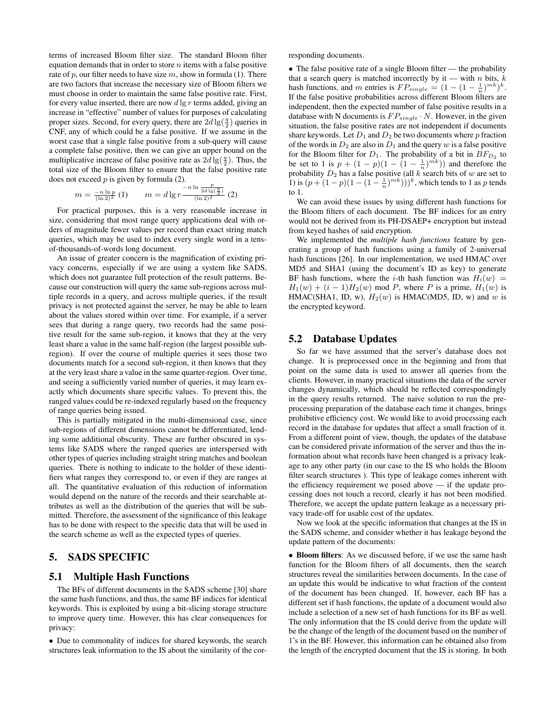terms of increased Bloom filter size. The standard Bloom filter equation demands that in order to store  $n$  items with a false positive rate of p, our filter needs to have size  $m$ , show in formula (1). There are two factors that increase the necessary size of Bloom filters we must choose in order to maintain the same false positive rate. First, for every value inserted, there are now  $d \lg r$  terms added, giving an increase in "effective" number of values for purposes of calculating proper sizes. Second, for every query, there are  $2d\lg(\frac{q}{2})$  queries in CNF, any of which could be a false positive. If we assume in the worst case that a single false positive from a sub-query will cause a complete false positive, then we can give an upper bound on the multiplicative increase of false positive rate as  $2d \lg(\frac{q}{2})$ . Thus, the total size of the Bloom filter to ensure that the false positive rate does not exceed  $p$  is given by formula (2).

$$
m = \frac{-n \ln p}{(\ln 2)^2} (1) \qquad m = d \lg r \frac{-n \ln \frac{p}{2d \lg(\frac{q}{2})}}{(\ln 2)^2} (2)
$$

For practical purposes, this is a very reasonable increase in size, considering that most range query applications deal with orders of magnitude fewer values per record than exact string match queries, which may be used to index every single word in a tensof-thousands-of-words long document.

An issue of greater concern is the magnification of existing privacy concerns, especially if we are using a system like SADS, which does not guarantee full protection of the result patterns. Because our construction will query the same sub-regions across multiple records in a query, and across multiple queries, if the result privacy is not protected against the server, he may be able to learn about the values stored within over time. For example, if a server sees that during a range query, two records had the same positive result for the same sub-region, it knows that they at the very least share a value in the same half-region (the largest possible subregion). If over the course of multiple queries it sees those two documents match for a second sub-region, it then knows that they at the very least share a value in the same quarter-region. Over time, and seeing a sufficiently varied number of queries, it may learn exactly which documents share specific values. To prevent this, the ranged values could be re-indexed regularly based on the frequency of range queries being issued.

This is partially mitigated in the multi-dimensional case, since sub-regions of different dimensions cannot be differentiated, lending some additional obscurity. These are further obscured in systems like SADS where the ranged queries are interspersed with other types of queries including straight string matches and boolean queries. There is nothing to indicate to the holder of these identifiers what ranges they correspond to, or even if they are ranges at all. The quantitative evaluation of this reduction of information would depend on the nature of the records and their searchable attributes as well as the distribution of the queries that will be submitted. Therefore, the assessment of the significance of this leakage has to be done with respect to the specific data that will be used in the search scheme as well as the expected types of queries.

# 5. SADS SPECIFIC

# <span id="page-4-0"></span>5.1 Multiple Hash Functions

The BFs of different documents in the SADS scheme [\[30\]](#page-9-8) share the same hash functions, and thus, the same BF indices for identical keywords. This is exploited by using a bit-slicing storage structure to improve query time. However, this has clear consequences for privacy:

• Due to commonality of indices for shared keywords, the search structures leak information to the IS about the similarity of the corresponding documents.

• The false positive rate of a single Bloom filter — the probability that a search query is matched incorrectly by it — with n bits,  $k$ hash functions, and m entries is  $FP_{single} = (1 - (1 - \frac{1}{n})^{mk})^k$ . If the false positive probabilities across different Bloom filters are independent, then the expected number of false positive results in a database with N documents is  $FP_{single} \cdot N$ . However, in the given situation, the false positive rates are not independent if documents share keywords. Let  $D_1$  and  $D_2$  be two documents where p fraction of the words in  $D_2$  are also in  $D_1$  and the query w is a false positive for the Bloom filter for  $D_1$ . The probability of a bit in  $BF_{D_2}$  to be set to 1 is  $p + (1 - p)(1 - (1 - \frac{1}{n})^{mk})$  and therefore the probability  $D_2$  has a false positive (all k search bits of w are set to 1) is  $(p + (1 - p)(1 - (1 - \frac{1}{n})^{mk})))^k$ , which tends to 1 as p tends to 1.

We can avoid these issues by using different hash functions for the Bloom filters of each document. The BF indices for an entry would not be derived from its PH-DSAEP+ encryption but instead from keyed hashes of said encryption.

We implemented the *multiple hash functions* feature by generating a group of hash functions using a family of 2-universal hash functions [\[26\]](#page-9-19). In our implementation, we used HMAC over MD5 and SHA1 (using the document's ID as key) to generate BF hash functions, where the *i*-th hash function was  $H_i(w)$  =  $H_1(w) + (i - 1)H_2(w)$  mod P, where P is a prime,  $H_1(w)$  is HMAC(SHA1, ID, w),  $H_2(w)$  is HMAC(MD5, ID, w) and w is the encrypted keyword.

## 5.2 Database Updates

So far we have assumed that the server's database does not change. It is preprocessed once in the beginning and from that point on the same data is used to answer all queries from the clients. However, in many practical situations the data of the server changes dynamically, which should be reflected correspondingly in the query results returned. The naive solution to run the preprocessing preparation of the database each time it changes, brings prohibitive efficiency cost. We would like to avoid processing each record in the database for updates that affect a small fraction of it. From a different point of view, though, the updates of the database can be considered private information of the server and thus the information about what records have been changed is a privacy leakage to any other party (in our case to the IS who holds the Bloom filter search structures ). This type of leakage comes inherent with the efficiency requirement we posed above — if the update processing does not touch a record, clearly it has not been modified. Therefore, we accept the update pattern leakage as a necessary privacy trade-off for usable cost of the updates.

Now we look at the specific information that changes at the IS in the SADS scheme, and consider whether it has leakage beyond the update pattern of the documents:

• Bloom filters: As we discussed before, if we use the same hash function for the Bloom filters of all documents, then the search structures reveal the similarities between documents. In the case of an update this would be indicative to what fraction of the content of the document has been changed. If, however, each BF has a different set if hash functions, the update of a document would also include a selection of a new set of hash functions for its BF as well. The only information that the IS could derive from the update will be the change of the length of the document based on the number of 1's in the BF. However, this information can be obtained also from the length of the encrypted document that the IS is storing. In both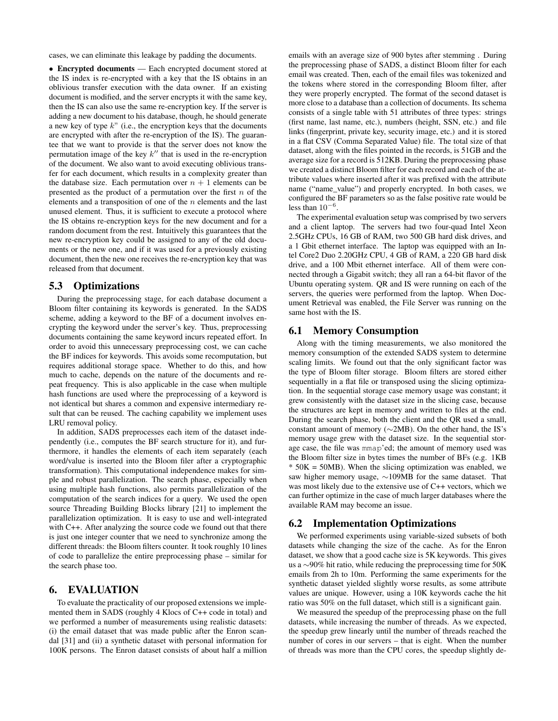cases, we can eliminate this leakage by padding the documents.

• Encrypted documents — Each encrypted document stored at the IS index is re-encrypted with a key that the IS obtains in an oblivious transfer execution with the data owner. If an existing document is modified, and the server encrypts it with the same key, then the IS can also use the same re-encryption key. If the server is adding a new document to his database, though, he should generate a new key of type  $k$ " (i.e., the encryption keys that the documents are encrypted with after the re-encryption of the IS). The guarantee that we want to provide is that the server does not know the permutation image of the key  $k''$  that is used in the re-encryption of the document. We also want to avoid executing oblivious transfer for each document, which results in a complexity greater than the database size. Each permutation over  $n + 1$  elements can be presented as the product of a permutation over the first  $n$  of the elements and a transposition of one of the  $n$  elements and the last unused element. Thus, it is sufficient to execute a protocol where the IS obtains re-encryption keys for the new document and for a random document from the rest. Intuitively this guarantees that the new re-encryption key could be assigned to any of the old documents or the new one, and if it was used for a previously existing document, then the new one receives the re-encryption key that was released from that document.

# 5.3 Optimizations

During the preprocessing stage, for each database document a Bloom filter containing its keywords is generated. In the SADS scheme, adding a keyword to the BF of a document involves encrypting the keyword under the server's key. Thus, preprocessing documents containing the same keyword incurs repeated effort. In order to avoid this unnecessary preprocessing cost, we can cache the BF indices for keywords. This avoids some recomputation, but requires additional storage space. Whether to do this, and how much to cache, depends on the nature of the documents and repeat frequency. This is also applicable in the case when multiple hash functions are used where the preprocessing of a keyword is not identical but shares a common and expensive intermediary result that can be reused. The caching capability we implement uses LRU removal policy.

In addition, SADS preprocesses each item of the dataset independently (i.e., computes the BF search structure for it), and furthermore, it handles the elements of each item separately (each word/value is inserted into the Bloom filer after a cryptographic transformation). This computational independence makes for simple and robust parallelization. The search phase, especially when using multiple hash functions, also permits parallelization of the computation of the search indices for a query. We used the open source Threading Building Blocks library [\[21\]](#page-9-20) to implement the parallelization optimization. It is easy to use and well-integrated with C++. After analyzing the source code we found out that there is just one integer counter that we need to synchronize among the different threads: the Bloom filters counter. It took roughly 10 lines of code to parallelize the entire preprocessing phase – similar for the search phase too.

# 6. EVALUATION

To evaluate the practicality of our proposed extensions we implemented them in SADS (roughly 4 Klocs of C++ code in total) and we performed a number of measurements using realistic datasets: (i) the email dataset that was made public after the Enron scan-dal [\[31\]](#page-9-21) and (ii) a synthetic dataset with personal information for 100K persons. The Enron dataset consists of about half a million

emails with an average size of 900 bytes after stemming . During the preprocessing phase of SADS, a distinct Bloom filter for each email was created. Then, each of the email files was tokenized and the tokens where stored in the corresponding Bloom filter, after they were properly encrypted. The format of the second dataset is more close to a database than a collection of documents. Its schema consists of a single table with 51 attributes of three types: strings (first name, last name, etc.), numbers (height, SSN, etc.) and file links (fingerprint, private key, security image, etc.) and it is stored in a flat CSV (Comma Separated Value) file. The total size of that dataset, along with the files pointed in the records, is 51GB and the average size for a record is 512KB. During the preprocessing phase we created a distinct Bloom filter for each record and each of the attribute values where inserted after it was prefixed with the attribute name ("name\_value") and properly encrypted. In both cases, we configured the BF parameters so as the false positive rate would be less than  $10^{-6}$ .

The experimental evaluation setup was comprised by two servers and a client laptop. The servers had two four-quad Intel Xeon 2.5GHz CPUs, 16 GB of RAM, two 500 GB hard disk drives, and a 1 Gbit ethernet interface. The laptop was equipped with an Intel Core2 Duo 2.20GHz CPU, 4 GB of RAM, a 220 GB hard disk drive, and a 100 Mbit ethernet interface. All of them were connected through a Gigabit switch; they all ran a 64-bit flavor of the Ubuntu operating system. QR and IS were running on each of the servers, the queries were performed from the laptop. When Document Retrieval was enabled, the File Server was running on the same host with the IS.

# 6.1 Memory Consumption

Along with the timing measurements, we also monitored the memory consumption of the extended SADS system to determine scaling limits. We found out that the only significant factor was the type of Bloom filter storage. Bloom filters are stored either sequentially in a flat file or transposed using the slicing optimization. In the sequential storage case memory usage was constant; it grew consistently with the dataset size in the slicing case, because the structures are kept in memory and written to files at the end. During the search phase, both the client and the QR used a small, constant amount of memory (∼2MB). On the other hand, the IS's memory usage grew with the dataset size. In the sequential storage case, the file was mmap'ed; the amount of memory used was the Bloom filter size in bytes times the number of BFs (e.g. 1KB \* 50K = 50MB). When the slicing optimization was enabled, we saw higher memory usage, ∼109MB for the same dataset. That was most likely due to the extensive use of C++ vectors, which we can further optimize in the case of much larger databases where the available RAM may become an issue.

### 6.2 Implementation Optimizations

We performed experiments using variable-sized subsets of both datasets while changing the size of the cache. As for the Enron dataset, we show that a good cache size is 5K keywords. This gives us a ∼90% hit ratio, while reducing the preprocessing time for 50K emails from 2h to 10m. Performing the same experiments for the synthetic dataset yielded slightly worse results, as some attribute values are unique. However, using a 10K keywords cache the hit ratio was 50% on the full dataset, which still is a significant gain.

We measured the speedup of the preprocessing phase on the full datasets, while increasing the number of threads. As we expected, the speedup grew linearly until the number of threads reached the number of cores in our servers – that is eight. When the number of threads was more than the CPU cores, the speedup slightly de-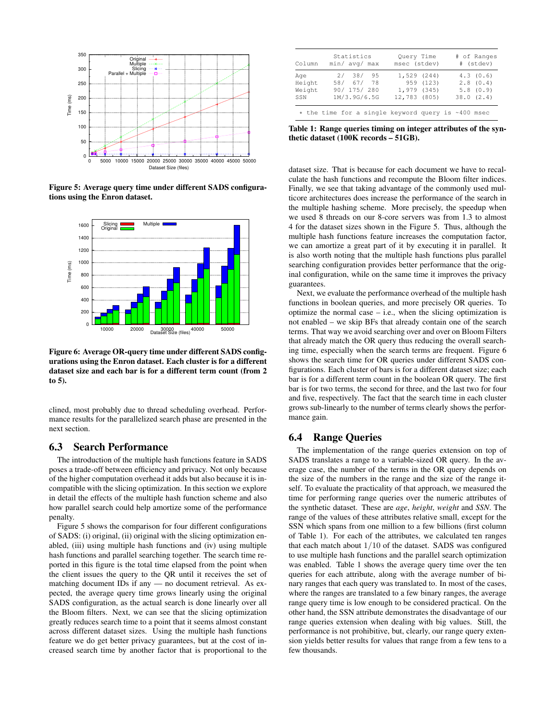

<span id="page-6-0"></span>Figure 5: Average query time under different SADS configurations using the Enron dataset.



<span id="page-6-1"></span>Figure 6: Average OR-query time under different SADS configurations using the Enron dataset. Each cluster is for a different dataset size and each bar is for a different term count (from 2 to 5).

clined, most probably due to thread scheduling overhead. Performance results for the parallelized search phase are presented in the next section.

### 6.3 Search Performance

The introduction of the multiple hash functions feature in SADS poses a trade-off between efficiency and privacy. Not only because of the higher computation overhead it adds but also because it is incompatible with the slicing optimization. In this section we explore in detail the effects of the multiple hash function scheme and also how parallel search could help amortize some of the performance penalty.

Figure [5](#page-6-0) shows the comparison for four different configurations of SADS: (i) original, (ii) original with the slicing optimization enabled, (iii) using multiple hash functions and (iv) using multiple hash functions and parallel searching together. The search time reported in this figure is the total time elapsed from the point when the client issues the query to the QR until it receives the set of matching document IDs if any — no document retrieval. As expected, the average query time grows linearly using the original SADS configuration, as the actual search is done linearly over all the Bloom filters. Next, we can see that the slicing optimization greatly reduces search time to a point that it seems almost constant across different dataset sizes. Using the multiple hash functions feature we do get better privacy guarantees, but at the cost of increased search time by another factor that is proportional to the

| Column                         | Statistics<br>min/ avg/ max                                | Query Time<br>msec (stdev)                              | # of Ranges<br># (stdev)                      |
|--------------------------------|------------------------------------------------------------|---------------------------------------------------------|-----------------------------------------------|
| Aqe<br>Height<br>Weight<br>SSN | 2/ 38/ 95<br>58/ 67/<br>78<br>90/ 175/ 280<br>1M/3.9G/6.5G | 1,529 (244)<br>959 (123)<br>1,979 (345)<br>12,783 (805) | 4.3(0.6)<br>2.8(0.4)<br>5.8(0.9)<br>38.0(2.4) |
|                                | * the time for a single keyword query is ~400 msec         |                                                         |                                               |

<span id="page-6-2"></span>Table 1: Range queries timing on integer attributes of the synthetic dataset (100K records – 51GB).

dataset size. That is because for each document we have to recalculate the hash functions and recompute the Bloom filter indices. Finally, we see that taking advantage of the commonly used multicore architectures does increase the performance of the search in the multiple hashing scheme. More precisely, the speedup when we used 8 threads on our 8-core servers was from 1.3 to almost 4 for the dataset sizes shown in the Figure [5.](#page-6-0) Thus, although the multiple hash functions feature increases the computation factor, we can amortize a great part of it by executing it in parallel. It is also worth noting that the multiple hash functions plus parallel searching configuration provides better performance that the original configuration, while on the same time it improves the privacy guarantees.

Next, we evaluate the performance overhead of the multiple hash functions in boolean queries, and more precisely OR queries. To optimize the normal case  $-$  i.e., when the slicing optimization is not enabled – we skip BFs that already contain one of the search terms. That way we avoid searching over and over on Bloom Filters that already match the OR query thus reducing the overall searching time, especially when the search terms are frequent. Figure [6](#page-6-1) shows the search time for OR queries under different SADS configurations. Each cluster of bars is for a different dataset size; each bar is for a different term count in the boolean OR query. The first bar is for two terms, the second for three, and the last two for four and five, respectively. The fact that the search time in each cluster grows sub-linearly to the number of terms clearly shows the performance gain.

# 6.4 Range Queries

The implementation of the range queries extension on top of SADS translates a range to a variable-sized OR query. In the average case, the number of the terms in the OR query depends on the size of the numbers in the range and the size of the range itself. To evaluate the practicality of that approach, we measured the time for performing range queries over the numeric attributes of the synthetic dataset. These are *age*, *height*, *weight* and *SSN*. The range of the values of these attributes relative small, except for the SSN which spans from one million to a few billions (first column of Table [1\)](#page-6-2). For each of the attributes, we calculated ten ranges that each match about  $1/10$  of the dataset. SADS was configured to use multiple hash functions and the parallel search optimization was enabled. Table [1](#page-6-2) shows the average query time over the ten queries for each attribute, along with the average number of binary ranges that each query was translated to. In most of the cases, where the ranges are translated to a few binary ranges, the average range query time is low enough to be considered practical. On the other hand, the SSN attribute demonstrates the disadvantage of our range queries extension when dealing with big values. Still, the performance is not prohibitive, but, clearly, our range query extension yields better results for values that range from a few tens to a few thousands.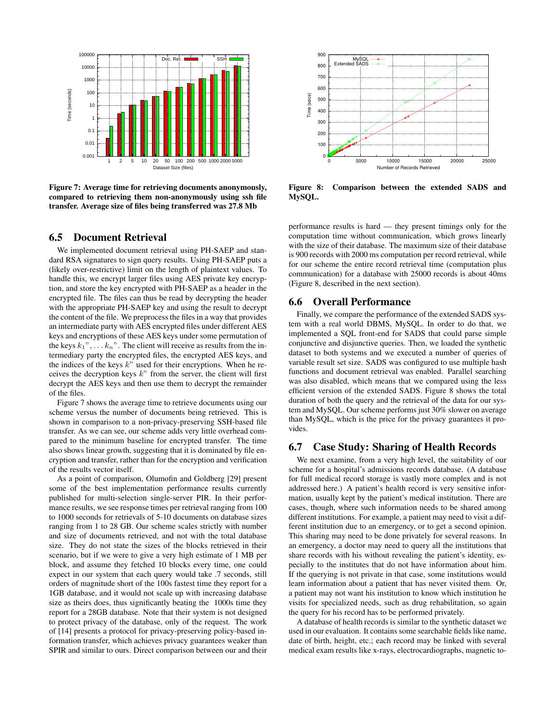

<span id="page-7-0"></span>Figure 7: Average time for retrieving documents anonymously, compared to retrieving them non-anonymously using ssh file transfer. Average size of files being transferred was 27.8 Mb

### 6.5 Document Retrieval

We implemented document retrieval using PH-SAEP and standard RSA signatures to sign query results. Using PH-SAEP puts a (likely over-restrictive) limit on the length of plaintext values. To handle this, we encrypt larger files using AES private key encryption, and store the key encrypted with PH-SAEP as a header in the encrypted file. The files can thus be read by decrypting the header with the appropriate PH-SAEP key and using the result to decrypt the content of the file. We preprocess the files in a way that provides an intermediate party with AES encrypted files under different AES keys and encryptions of these AES keys under some permutation of the keys  $k_1$ ", ...  $k_n$ ". The client will receive as results from the intermediary party the encrypted files, the encrypted AES keys, and the indices of the keys  $k$ " used for their encryptions. When he receives the decryption keys  $k$ " from the server, the client will first decrypt the AES keys and then use them to decrypt the remainder of the files.

Figure [7](#page-7-0) shows the average time to retrieve documents using our scheme versus the number of documents being retrieved. This is shown in comparison to a non-privacy-preserving SSH-based file transfer. As we can see, our scheme adds very little overhead compared to the minimum baseline for encrypted transfer. The time also shows linear growth, suggesting that it is dominated by file encryption and transfer, rather than for the encryption and verification of the results vector itself.

As a point of comparison, Olumofin and Goldberg [\[29\]](#page-9-14) present some of the best implementation performance results currently published for multi-selection single-server PIR. In their performance results, we see response times per retrieval ranging from 100 to 1000 seconds for retrievals of 5-10 documents on database sizes ranging from 1 to 28 GB. Our scheme scales strictly with number and size of documents retrieved, and not with the total database size. They do not state the sizes of the blocks retrieved in their scenario, but if we were to give a very high estimate of 1 MB per block, and assume they fetched 10 blocks every time, one could expect in our system that each query would take .7 seconds, still orders of magnitude short of the 100s fastest time they report for a 1GB database, and it would not scale up with increasing database size as theirs does, thus significantly beating the 1000s time they report for a 28GB database. Note that their system is not designed to protect privacy of the database, only of the request. The work of [\[14\]](#page-9-22) presents a protocol for privacy-preserving policy-based information transfer, which achieves privacy guarantees weaker than SPIR and similar to ours. Direct comparison between our and their



<span id="page-7-1"></span>Figure 8: Comparison between the extended SADS and MySQL.

performance results is hard — they present timings only for the computation time without communication, which grows linearly with the size of their database. The maximum size of their database is 900 records with 2000 ms computation per record retrieval, while for our scheme the entire record retrieval time (computation plus communication) for a database with 25000 records is about 40ms (Figure [8,](#page-7-1) described in the next section).

#### 6.6 Overall Performance

Finally, we compare the performance of the extended SADS system with a real world DBMS, MySQL. In order to do that, we implemented a SQL front-end for SADS that could parse simple conjunctive and disjunctive queries. Then, we loaded the synthetic dataset to both systems and we executed a number of queries of variable result set size. SADS was configured to use multiple hash functions and document retrieval was enabled. Parallel searching was also disabled, which means that we compared using the less efficient version of the extended SADS. Figure [8](#page-7-1) shows the total duration of both the query and the retrieval of the data for our system and MySQL. Our scheme performs just 30% slower on average than MySQL, which is the price for the privacy guarantees it provides.

### 6.7 Case Study: Sharing of Health Records

We next examine, from a very high level, the suitability of our scheme for a hospital's admissions records database. (A database for full medical record storage is vastly more complex and is not addressed here.) A patient's health record is very sensitive information, usually kept by the patient's medical institution. There are cases, though, where such information needs to be shared among different institutions. For example, a patient may need to visit a different institution due to an emergency, or to get a second opinion. This sharing may need to be done privately for several reasons. In an emergency, a doctor may need to query all the institutions that share records with his without revealing the patient's identity, especially to the institutes that do not have information about him. If the querying is not private in that case, some institutions would learn information about a patient that has never visited them. Or, a patient may not want his institution to know which institution he visits for specialized needs, such as drug rehabilitation, so again the query for his record has to be performed privately.

A database of health records is similar to the synthetic dataset we used in our evaluation. It contains some searchable fields like name, date of birth, height, etc.; each record may be linked with several medical exam results like x-rays, electrocardiographs, magnetic to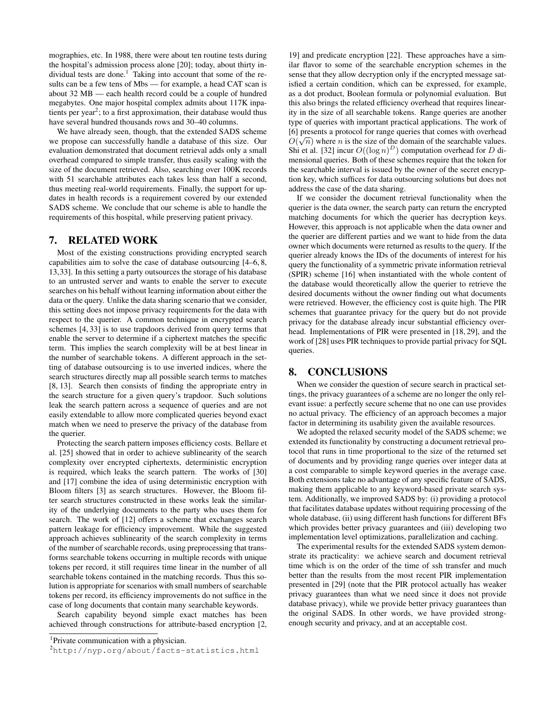mographies, etc. In 1988, there were about ten routine tests during the hospital's admission process alone [\[20\]](#page-9-23); today, about thirty in-dividual tests are done.<sup>[1](#page-8-0)</sup> Taking into account that some of the results can be a few tens of Mbs — for example, a head CAT scan is about 32 MB — each health record could be a couple of hundred megabytes. One major hospital complex admits about 117K inpa-tients per year<sup>[2](#page-8-1)</sup>; to a first approximation, their database would thus have several hundred thousands rows and 30–40 columns.

We have already seen, though, that the extended SADS scheme we propose can successfully handle a database of this size. Our evaluation demonstrated that document retrieval adds only a small overhead compared to simple transfer, thus easily scaling with the size of the document retrieved. Also, searching over 100K records with 51 searchable attributes each takes less than half a second, thus meeting real-world requirements. Finally, the support for updates in health records is a requirement covered by our extended SADS scheme. We conclude that our scheme is able to handle the requirements of this hospital, while preserving patient privacy.

# 7. RELATED WORK

Most of the existing constructions providing encrypted search capabilities aim to solve the case of database outsourcing [\[4](#page-9-0)[–6,](#page-9-1) [8,](#page-9-2) [13,](#page-9-3)[33\]](#page-9-4). In this setting a party outsources the storage of his database to an untrusted server and wants to enable the server to execute searches on his behalf without learning information about either the data or the query. Unlike the data sharing scenario that we consider, this setting does not impose privacy requirements for the data with respect to the querier. A common technique in encrypted search schemes [\[4,](#page-9-0) [33\]](#page-9-4) is to use trapdoors derived from query terms that enable the server to determine if a ciphertext matches the specific term. This implies the search complexity will be at best linear in the number of searchable tokens. A different approach in the setting of database outsourcing is to use inverted indices, where the search structures directly map all possible search terms to matches [\[8,](#page-9-2) [13\]](#page-9-3). Search then consists of finding the appropriate entry in the search structure for a given query's trapdoor. Such solutions leak the search pattern across a sequence of queries and are not easily extendable to allow more complicated queries beyond exact match when we need to preserve the privacy of the database from the querier.

Protecting the search pattern imposes efficiency costs. Bellare et al. [\[25\]](#page-9-24) showed that in order to achieve sublinearity of the search complexity over encrypted ciphertexts, deterministic encryption is required, which leaks the search pattern. The works of [\[30\]](#page-9-8) and [\[17\]](#page-9-7) combine the idea of using deterministic encryption with Bloom filters [\[3\]](#page-9-25) as search structures. However, the Bloom filter search structures constructed in these works leak the similarity of the underlying documents to the party who uses them for search. The work of [\[12\]](#page-9-26) offers a scheme that exchanges search pattern leakage for efficiency improvement. While the suggested approach achieves sublinearity of the search complexity in terms of the number of searchable records, using preprocessing that transforms searchable tokens occurring in multiple records with unique tokens per record, it still requires time linear in the number of all searchable tokens contained in the matching records. Thus this solution is appropriate for scenarios with small numbers of searchable tokens per record, its efficiency improvements do not suffice in the case of long documents that contain many searchable keywords.

Search capability beyond simple exact matches has been achieved through constructions for attribute-based encryption [\[2,](#page-9-27)

[19\]](#page-9-28) and predicate encryption [\[22\]](#page-9-29). These approaches have a similar flavor to some of the searchable encryption schemes in the sense that they allow decryption only if the encrypted message satisfied a certain condition, which can be expressed, for example, as a dot product, Boolean formula or polynomial evaluation. But this also brings the related efficiency overhead that requires linearity in the size of all searchable tokens. Range queries are another type of queries with important practical applications. The work of [\[6\]](#page-9-1) presents a protocol for range queries that comes with overhead √  $O(\sqrt{n})$  where *n* is the size of the domain of the searchable values. Shi et al. [\[32\]](#page-9-30) incur  $O((\log n)^D)$  computation overhead for D dimensional queries. Both of these schemes require that the token for the searchable interval is issued by the owner of the secret encryption key, which suffices for data outsourcing solutions but does not address the case of the data sharing.

If we consider the document retrieval functionality when the querier is the data owner, the search party can return the encrypted matching documents for which the querier has decryption keys. However, this approach is not applicable when the data owner and the querier are different parties and we want to hide from the data owner which documents were returned as results to the query. If the querier already knows the IDs of the documents of interest for his query the functionality of a symmetric private information retrieval (SPIR) scheme [\[16\]](#page-9-13) when instantiated with the whole content of the database would theoretically allow the querier to retrieve the desired documents without the owner finding out what documents were retrieved. However, the efficiency cost is quite high. The PIR schemes that guarantee privacy for the query but do not provide privacy for the database already incur substantial efficiency overhead. Implementations of PIR were presented in [\[18,](#page-9-31) [29\]](#page-9-14), and the work of [\[28\]](#page-9-32) uses PIR techniques to provide partial privacy for SQL queries.

## 8. CONCLUSIONS

When we consider the question of secure search in practical settings, the privacy guarantees of a scheme are no longer the only relevant issue: a perfectly secure scheme that no one can use provides no actual privacy. The efficiency of an approach becomes a major factor in determining its usability given the available resources.

We adopted the relaxed security model of the SADS scheme; we extended its functionality by constructing a document retrieval protocol that runs in time proportional to the size of the returned set of documents and by providing range queries over integer data at a cost comparable to simple keyword queries in the average case. Both extensions take no advantage of any specific feature of SADS, making them applicable to any keyword-based private search system. Additionally, we improved SADS by: (i) providing a protocol that facilitates database updates without requiring processing of the whole database, (ii) using different hash functions for different BFs which provides better privacy guarantees and (iii) developing two implementation level optimizations, parallelization and caching.

The experimental results for the extended SADS system demonstrate its practicality: we achieve search and document retrieval time which is on the order of the time of ssh transfer and much better than the results from the most recent PIR implementation presented in [\[29\]](#page-9-14) (note that the PIR protocol actually has weaker privacy guarantees than what we need since it does not provide database privacy), while we provide better privacy guarantees than the original SADS. In other words, we have provided strongenough security and privacy, and at an acceptable cost.

<span id="page-8-0"></span><sup>&</sup>lt;sup>1</sup>Private communication with a physician.

<span id="page-8-1"></span><sup>2</sup><http://nyp.org/about/facts-statistics.html>